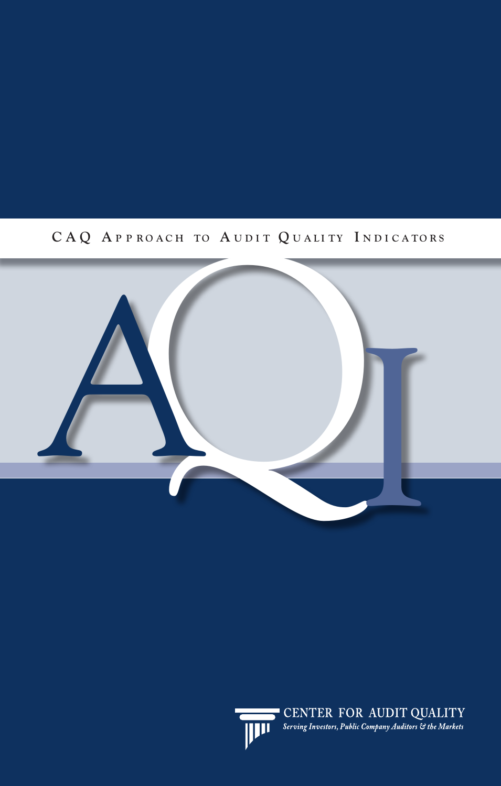# CAQ APPROACH TO AUDIT QUALITY INDICATORS





**CENTER FOR AUDIT QUALITY**<br>**Serving Investors, Public Company Auditors** & the Markets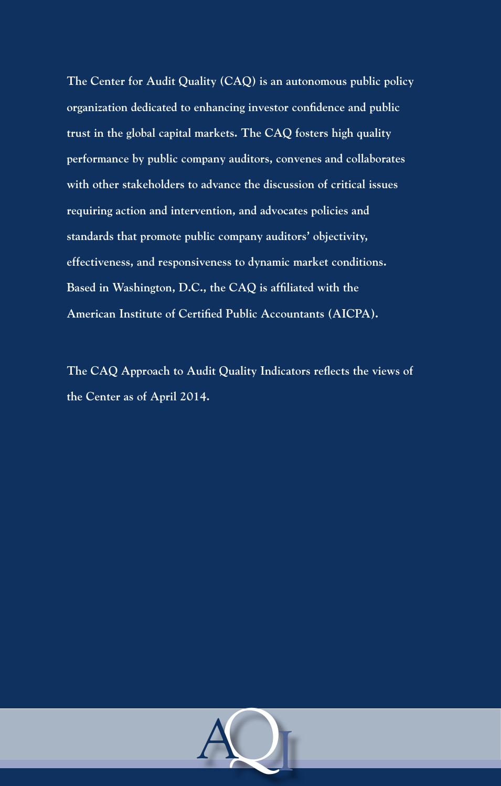**The Center for Audit Quality (CAQ) is an autonomous public policy organization dedicated to enhancing investor confidence and public trust in the global capital markets. The CAQ fosters high quality performance by public company auditors, convenes and collaborates with other stakeholders to advance the discussion of critical issues requiring action and intervention, and advocates policies and standards that promote public company auditors' objectivity, effectiveness, and responsiveness to dynamic market conditions. Based in Washington, D.C., the CAQ is affiliated with the American Institute of Certified Public Accountants (AICPA).**

**The CAQ Approach to Audit Quality Indicators reflects the views of the Center as of April 2014.**

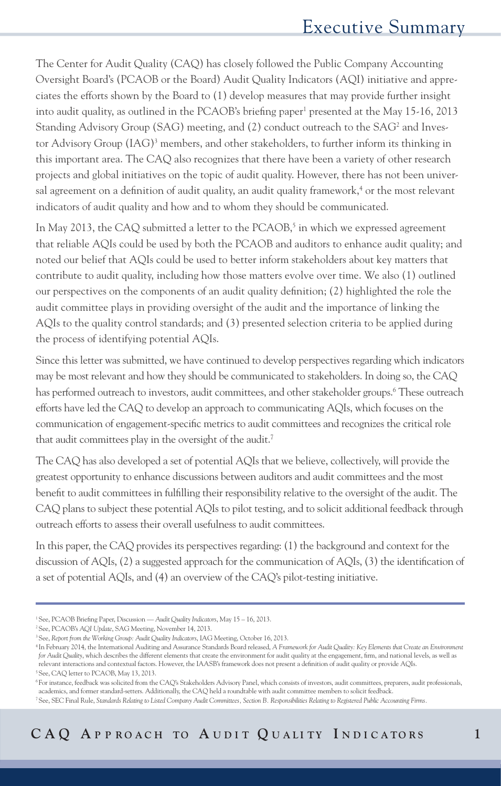The Center for Audit Quality (CAQ) has closely followed the Public Company Accounting Oversight Board's (PCAOB or the Board) Audit Quality Indicators (AQI) initiative and appreciates the efforts shown by the Board to (1) develop measures that may provide further insight into audit quality, as outlined in the PCAOB's briefing paper<sup>1</sup> presented at the May 15-16, 2013 Standing Advisory Group (SAG) meeting, and (2) conduct outreach to the SAG<sup>2</sup> and Investor Advisory Group (IAG)<sup>3</sup> members, and other stakeholders, to further inform its thinking in this important area. The CAQ also recognizes that there have been a variety of other research projects and global initiatives on the topic of audit quality. However, there has not been universal agreement on a definition of audit quality, an audit quality framework,<sup>4</sup> or the most relevant indicators of audit quality and how and to whom they should be communicated.

In May 2013, the CAQ submitted a letter to the PCAOB,<sup>5</sup> in which we expressed agreement that reliable AQIs could be used by both the PCAOB and auditors to enhance audit quality; and noted our belief that AQIs could be used to better inform stakeholders about key matters that contribute to audit quality, including how those matters evolve over time. We also (1) outlined our perspectives on the components of an audit quality definition; (2) highlighted the role the audit committee plays in providing oversight of the audit and the importance of linking the AQIs to the quality control standards; and (3) presented selection criteria to be applied during the process of identifying potential AQIs.

Since this letter was submitted, we have continued to develop perspectives regarding which indicators may be most relevant and how they should be communicated to stakeholders. In doing so, the CAQ has performed outreach to investors, audit committees, and other stakeholder groups.<sup>6</sup> These outreach efforts have led the CAQ to develop an approach to communicating AQIs, which focuses on the communication of engagement-specific metrics to audit committees and recognizes the critical role that audit committees play in the oversight of the audit.<sup>7</sup>

The CAQ has also developed a set of potential AQIs that we believe, collectively, will provide the greatest opportunity to enhance discussions between auditors and audit committees and the most benefit to audit committees in fulfilling their responsibility relative to the oversight of the audit. The CAQ plans to subject these potential AQIs to pilot testing, and to solicit additional feedback through outreach efforts to assess their overall usefulness to audit committees.

In this paper, the CAQ provides its perspectives regarding: (1) the background and context for the discussion of AQIs, (2) a suggested approach for the communication of AQIs, (3) the identification of a set of potential AQIs, and (4) an overview of the CAQ's pilot-testing initiative.

<sup>1</sup> See, PCAOB Briefing Paper, Discussion — *Audit Quality Indicators*, May 15 – 16, 2013.

<sup>2</sup> See, PCAOB's *AQI Update*, SAG Meeting, November 14, 2013.

<sup>3</sup> See, *Report from the Working Group: Audit Quality Indicators*, IAG Meeting, October 16, 2013.

<sup>4</sup> In February 2014, the International Auditing and Assurance Standards Board released, *A Framework for Audit Quality: Key Elements that Create an Environment for Audit Quality*, which describes the different elements that create the environment for audit quality at the engagement, firm, and national levels, as well as relevant interactions and contextual factors. However, the IAASB's framework does not present a definition of audit quality or provide AQIs. 5 See, CAQ letter to PCAOB, May 13, 2013.

<sup>6</sup> For instance, feedback was solicited from the CAQ's Stakeholders Advisory Panel, which consists of investors, audit committees, preparers, audit professionals, academics, and former standard-setters. Additionally, the CAQ held a roundtable with audit committee members to solicit feedback.

<sup>7</sup> See, SEC Final Rule, *Standards Relating to Listed Company Audit Committees, Section B. Responsibilities Relating to Registered Public Accounting Firms.*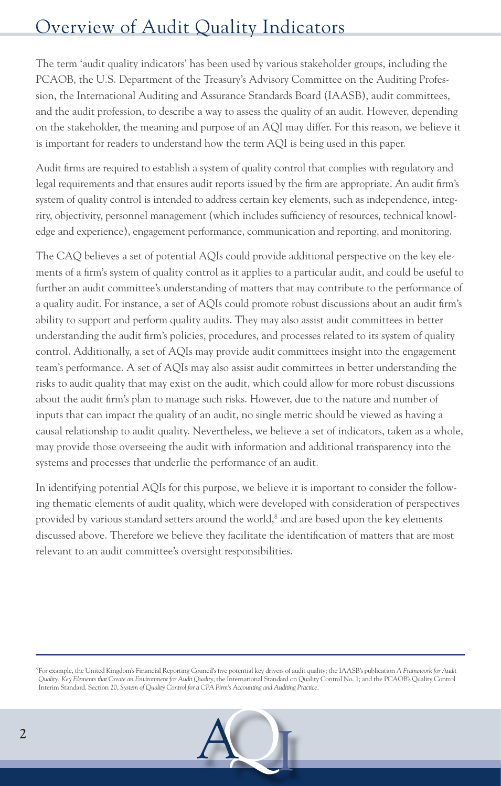# Overview of Audit Quality Indicators

The term 'audit quality indicators' has been used by various stakeholder groups, including the PCAOB, the U.S. Department of the Treasury's Advisory Committee on the Auditing Profession, the International Auditing and Assurance Standards Board (IAASB), audit committees, and the audit profession, to describe a way to assess the quality of an audit. However, depending on the stakeholder, the meaning and purpose of an AQI may differ. For this reason, we believe it is important for readers to understand how the term AQI is being used in this paper.

Audit firms are required to establish a system of quality control that complies with regulatory and legal requirements and that ensures audit reports issued by the firm are appropriate. An audit firm's system of quality control is intended to address certain key elements, such as independence, integrity, objectivity, personnel management (which includes sufficiency of resources, technical knowledge and experience), engagement performance, communication and reporting, and monitoring.

The CAQ believes a set of potential AQIs could provide additional perspective on the key elements of a firm's system of quality control as it applies to a particular audit, and could be useful to further an audit committee's understanding of matters that may contribute to the performance of a quality audit. For instance, a set of AQIs could promote robust discussions about an audit firm's ability to support and perform quality audits. They may also assist audit committees in better understanding the audit firm's policies, procedures, and processes related to its system of quality control. Additionally, a set of AQIs may provide audit committees insight into the engagement team's performance. A set of AQIs may also assist audit committees in better understanding the risks to audit quality that may exist on the audit, which could allow for more robust discussions about the audit firm's plan to manage such risks. However, due to the nature and number of inputs that can impact the quality of an audit, no single metric should be viewed as having a causal relationship to audit quality. Nevertheless, we believe a set of indicators, taken as a whole, may provide those overseeing the audit with information and additional transparency into the systems and processes that underlie the performance of an audit.

In identifying potential AQIs for this purpose, we believe it is important to consider the following thematic elements of audit quality, which were developed with consideration of perspectives provided by various standard setters around the world, $8$  and are based upon the key elements discussed above. Therefore we believe they facilitate the identification of matters that are most relevant to an audit committee's oversight responsibilities.

<sup>8</sup> For example, the United Kingdom's Financial Reporting Council's five potential key drivers of audit quality; the IAASB's publication *A Framework for Audit Quality: Key Elements that Create an Environment for Audit Quality*; the International Standard on Quality Control No. 1; and the PCAOB's Quality Control Interim Standard, Section 20, *System of Quality Control for a CPA Firm's Accounting and Auditing Practice.*

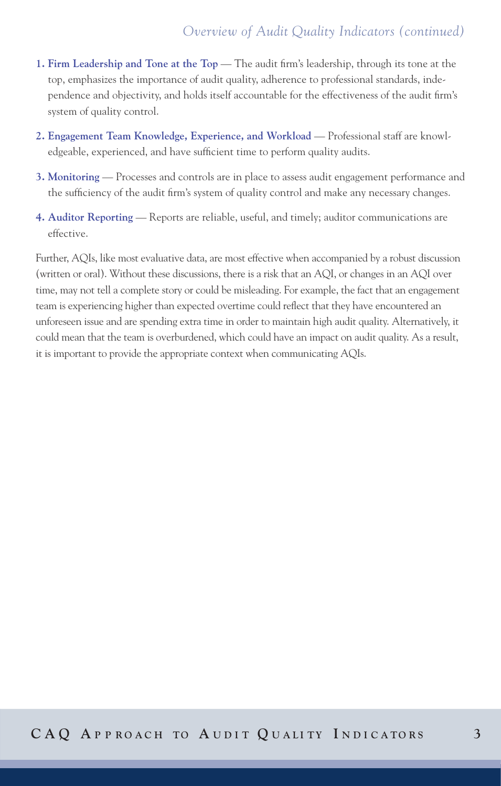# *Overview of Audit Quality Indicators (continued)*

- **1. Firm Leadership and Tone at the Top** The audit firm's leadership, through its tone at the top, emphasizes the importance of audit quality, adherence to professional standards, independence and objectivity, and holds itself accountable for the effectiveness of the audit firm's system of quality control.
- **2. Engagement Team Knowledge, Experience, and Workload** Professional staff are knowledgeable, experienced, and have sufficient time to perform quality audits.
- **3. Monitoring** Processes and controls are in place to assess audit engagement performance and the sufficiency of the audit firm's system of quality control and make any necessary changes.
- **4. Auditor Reporting** Reports are reliable, useful, and timely; auditor communications are effective.

Further, AQIs, like most evaluative data, are most effective when accompanied by a robust discussion (written or oral). Without these discussions, there is a risk that an AQI, or changes in an AQI over time, may not tell a complete story or could be misleading. For example, the fact that an engagement team is experiencing higher than expected overtime could reflect that they have encountered an unforeseen issue and are spending extra time in order to maintain high audit quality. Alternatively, it could mean that the team is overburdened, which could have an impact on audit quality. As a result, it is important to provide the appropriate context when communicating AQIs.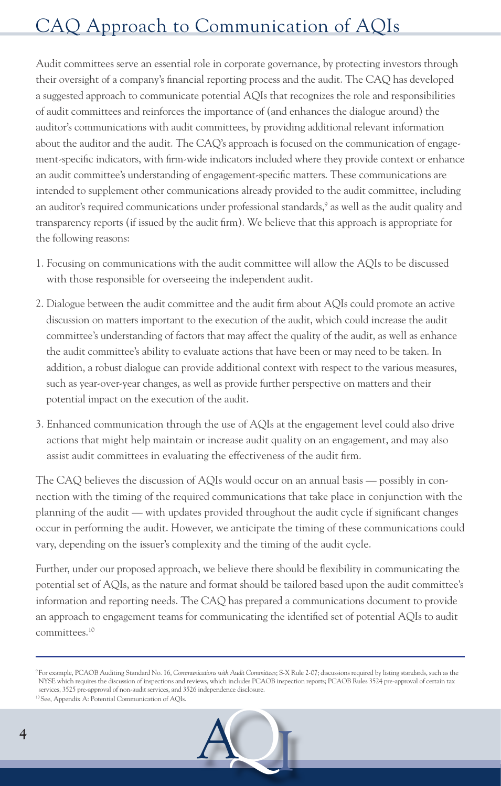# CAQ Approach to Communication of AQIs

Audit committees serve an essential role in corporate governance, by protecting investors through their oversight of a company's financial reporting process and the audit. The CAQ has developed a suggested approach to communicate potential AQIs that recognizes the role and responsibilities of audit committees and reinforces the importance of (and enhances the dialogue around) the auditor's communications with audit committees, by providing additional relevant information about the auditor and the audit. The CAQ's approach is focused on the communication of engagement-specific indicators, with firm-wide indicators included where they provide context or enhance an audit committee's understanding of engagement-specific matters. These communications are intended to supplement other communications already provided to the audit committee, including an auditor's required communications under professional standards,<sup>9</sup> as well as the audit quality and transparency reports (if issued by the audit firm). We believe that this approach is appropriate for the following reasons:

- 1. Focusing on communications with the audit committee will allow the AQIs to be discussed with those responsible for overseeing the independent audit.
- 2. Dialogue between the audit committee and the audit firm about AQIs could promote an active discussion on matters important to the execution of the audit, which could increase the audit committee's understanding of factors that may affect the quality of the audit, as well as enhance the audit committee's ability to evaluate actions that have been or may need to be taken. In addition, a robust dialogue can provide additional context with respect to the various measures, such as year-over-year changes, as well as provide further perspective on matters and their potential impact on the execution of the audit.
- 3. Enhanced communication through the use of AQIs at the engagement level could also drive actions that might help maintain or increase audit quality on an engagement, and may also assist audit committees in evaluating the effectiveness of the audit firm.

The CAQ believes the discussion of AQIs would occur on an annual basis — possibly in connection with the timing of the required communications that take place in conjunction with the planning of the audit — with updates provided throughout the audit cycle if significant changes occur in performing the audit. However, we anticipate the timing of these communications could vary, depending on the issuer's complexity and the timing of the audit cycle.

Further, under our proposed approach, we believe there should be flexibility in communicating the potential set of AQIs, as the nature and format should be tailored based upon the audit committee's information and reporting needs. The CAQ has prepared a communications document to provide an approach to engagement teams for communicating the identified set of potential AQIs to audit committees.10

<sup>10</sup> See, Appendix A: Potential Communication of AQIs.



<sup>9</sup> For example, PCAOB Auditing Standard No. 16, *Communications with Audit Committees*; S-X Rule 2-07; discussions required by listing standards, such as the NYSE which requires the discussion of inspections and reviews, which includes PCAOB inspection reports; PCAOB Rules 3524 pre-approval of certain tax services, 3525 pre-approval of non-audit services, and 3526 independence disclosure.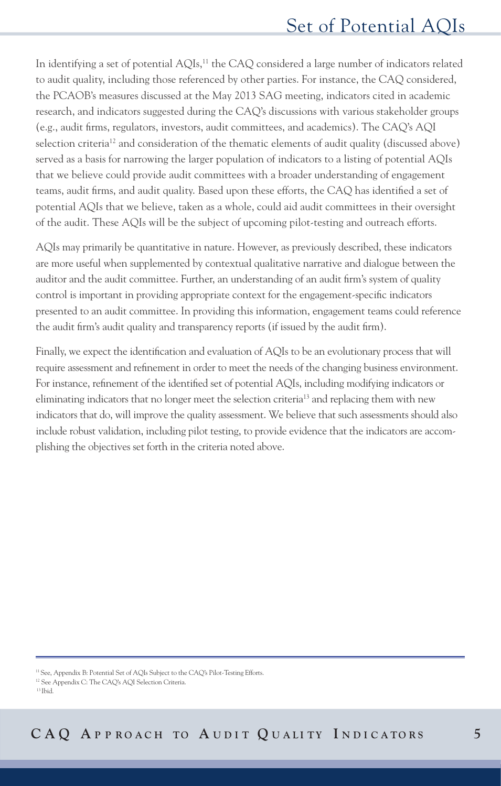In identifying a set of potential AQIs,<sup>11</sup> the CAQ considered a large number of indicators related to audit quality, including those referenced by other parties. For instance, the CAQ considered, the PCAOB's measures discussed at the May 2013 SAG meeting, indicators cited in academic research, and indicators suggested during the CAQ's discussions with various stakeholder groups (e.g., audit firms, regulators, investors, audit committees, and academics). The CAQ's AQI selection criteria<sup>12</sup> and consideration of the thematic elements of audit quality (discussed above) served as a basis for narrowing the larger population of indicators to a listing of potential AQIs that we believe could provide audit committees with a broader understanding of engagement teams, audit firms, and audit quality. Based upon these efforts, the CAQ has identified a set of potential AQIs that we believe, taken as a whole, could aid audit committees in their oversight of the audit. These AQIs will be the subject of upcoming pilot-testing and outreach efforts.

AQIs may primarily be quantitative in nature. However, as previously described, these indicators are more useful when supplemented by contextual qualitative narrative and dialogue between the auditor and the audit committee. Further, an understanding of an audit firm's system of quality control is important in providing appropriate context for the engagement-specific indicators presented to an audit committee. In providing this information, engagement teams could reference the audit firm's audit quality and transparency reports (if issued by the audit firm).

Finally, we expect the identification and evaluation of AQIs to be an evolutionary process that will require assessment and refinement in order to meet the needs of the changing business environment. For instance, refinement of the identified set of potential AQIs, including modifying indicators or eliminating indicators that no longer meet the selection criteria13 and replacing them with new indicators that do, will improve the quality assessment. We believe that such assessments should also include robust validation, including pilot testing, to provide evidence that the indicators are accomplishing the objectives set forth in the criteria noted above.

13 Ibid.

<sup>11</sup> See, Appendix B: Potential Set of AQIs Subject to the CAQ's Pilot-Testing Efforts.

<sup>12</sup> See Appendix C: The CAQ's AQI Selection Criteria.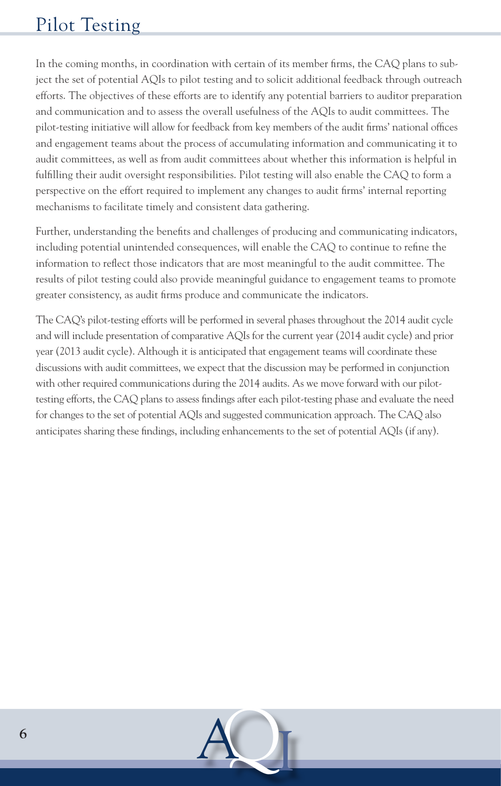# Pilot Testing

In the coming months, in coordination with certain of its member firms, the CAQ plans to subject the set of potential AQIs to pilot testing and to solicit additional feedback through outreach efforts. The objectives of these efforts are to identify any potential barriers to auditor preparation and communication and to assess the overall usefulness of the AQIs to audit committees. The pilot-testing initiative will allow for feedback from key members of the audit firms' national offices and engagement teams about the process of accumulating information and communicating it to audit committees, as well as from audit committees about whether this information is helpful in fulfilling their audit oversight responsibilities. Pilot testing will also enable the CAQ to form a perspective on the effort required to implement any changes to audit firms' internal reporting mechanisms to facilitate timely and consistent data gathering.

Further, understanding the benefits and challenges of producing and communicating indicators, including potential unintended consequences, will enable the CAQ to continue to refine the information to reflect those indicators that are most meaningful to the audit committee. The results of pilot testing could also provide meaningful guidance to engagement teams to promote greater consistency, as audit firms produce and communicate the indicators.

The CAQ's pilot-testing efforts will be performed in several phases throughout the 2014 audit cycle and will include presentation of comparative AQIs for the current year (2014 audit cycle) and prior year (2013 audit cycle). Although it is anticipated that engagement teams will coordinate these discussions with audit committees, we expect that the discussion may be performed in conjunction with other required communications during the 2014 audits. As we move forward with our pilottesting efforts, the CAQ plans to assess findings after each pilot-testing phase and evaluate the need for changes to the set of potential AQIs and suggested communication approach. The CAQ also anticipates sharing these findings, including enhancements to the set of potential AQIs (if any).

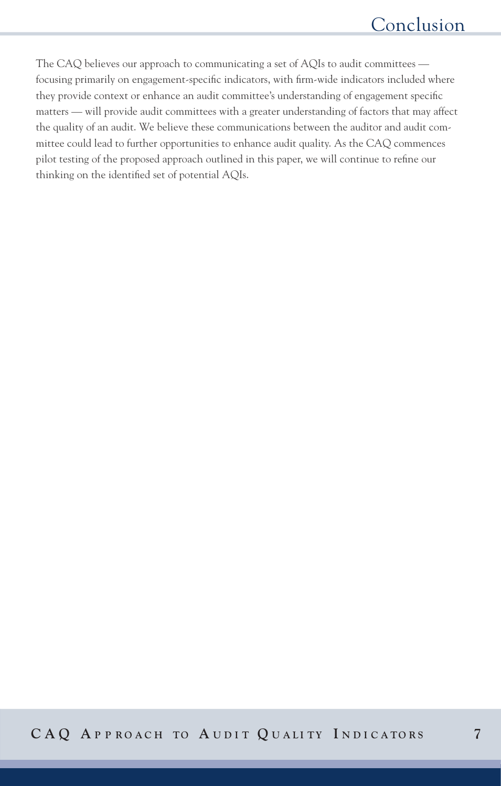The CAQ believes our approach to communicating a set of AQIs to audit committees focusing primarily on engagement-specific indicators, with firm-wide indicators included where they provide context or enhance an audit committee's understanding of engagement specific matters — will provide audit committees with a greater understanding of factors that may affect the quality of an audit. We believe these communications between the auditor and audit committee could lead to further opportunities to enhance audit quality. As the CAQ commences pilot testing of the proposed approach outlined in this paper, we will continue to refine our thinking on the identified set of potential AQIs.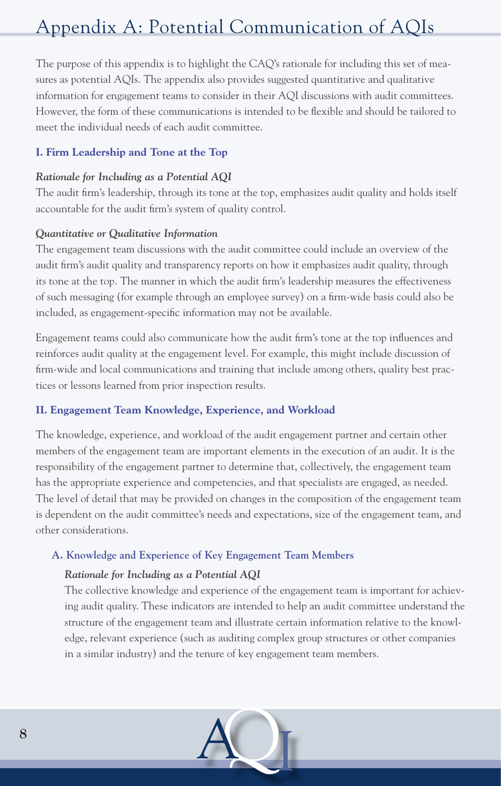# Appendix A: Potential Communication of AQIs

The purpose of this appendix is to highlight the CAQ's rationale for including this set of measures as potential AQIs. The appendix also provides suggested quantitative and qualitative information for engagement teams to consider in their AQI discussions with audit committees. However, the form of these communications is intended to be flexible and should be tailored to meet the individual needs of each audit committee.

# **I. Firm Leadership and Tone at the Top**

## *Rationale for Including as a Potential AQI*

The audit firm's leadership, through its tone at the top, emphasizes audit quality and holds itself accountable for the audit firm's system of quality control.

# *Quantitative or Qualitative Information*

The engagement team discussions with the audit committee could include an overview of the audit firm's audit quality and transparency reports on how it emphasizes audit quality, through its tone at the top. The manner in which the audit firm's leadership measures the effectiveness of such messaging (for example through an employee survey) on a firm-wide basis could also be included, as engagement-specific information may not be available.

Engagement teams could also communicate how the audit firm's tone at the top influences and reinforces audit quality at the engagement level. For example, this might include discussion of firm-wide and local communications and training that include among others, quality best practices or lessons learned from prior inspection results.

# **II. Engagement Team Knowledge, Experience, and Workload**

The knowledge, experience, and workload of the audit engagement partner and certain other members of the engagement team are important elements in the execution of an audit. It is the responsibility of the engagement partner to determine that, collectively, the engagement team has the appropriate experience and competencies, and that specialists are engaged, as needed. The level of detail that may be provided on changes in the composition of the engagement team is dependent on the audit committee's needs and expectations, size of the engagement team, and other considerations.

# **A. Knowledge and Experience of Key Engagement Team Members**

# *Rationale for Including as a Potential AQI*

 The collective knowledge and experience of the engagement team is important for achieving audit quality. These indicators are intended to help an audit committee understand the structure of the engagement team and illustrate certain information relative to the knowledge, relevant experience (such as auditing complex group structures or other companies in a similar industry) and the tenure of key engagement team members.

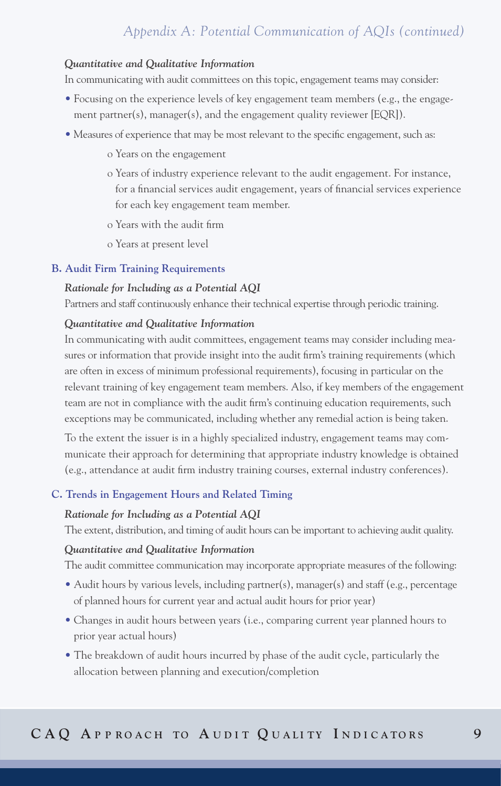#### *Quantitative and Qualitative Information*

In communicating with audit committees on this topic, engagement teams may consider:

- Focusing on the experience levels of key engagement team members (e.g., the engagement partner(s), manager(s), and the engagement quality reviewer [EQR]).
- Measures of experience that may be most relevant to the specific engagement, such as:
	- o Years on the engagement
	- o Years of industry experience relevant to the audit engagement. For instance, for a financial services audit engagement, years of financial services experience for each key engagement team member.
	- o Years with the audit firm
	- o Years at present level

#### **B. Audit Firm Training Requirements**

#### *Rationale for Including as a Potential AQI*

Partners and staff continuously enhance their technical expertise through periodic training.

#### *Quantitative and Qualitative Information*

 In communicating with audit committees, engagement teams may consider including measures or information that provide insight into the audit firm's training requirements (which are often in excess of minimum professional requirements), focusing in particular on the relevant training of key engagement team members. Also, if key members of the engagement team are not in compliance with the audit firm's continuing education requirements, such exceptions may be communicated, including whether any remedial action is being taken.

 To the extent the issuer is in a highly specialized industry, engagement teams may communicate their approach for determining that appropriate industry knowledge is obtained (e.g., attendance at audit firm industry training courses, external industry conferences).

#### **C. Trends in Engagement Hours and Related Timing**

#### *Rationale for Including as a Potential AQI*

The extent, distribution, and timing of audit hours can be important to achieving audit quality.

#### *Quantitative and Qualitative Information*

The audit committee communication may incorporate appropriate measures of the following:

- Audit hours by various levels, including partner(s), manager(s) and staff (e.g., percentage of planned hours for current year and actual audit hours for prior year)
- Changes in audit hours between years (i.e., comparing current year planned hours to prior year actual hours)
- The breakdown of audit hours incurred by phase of the audit cycle, particularly the allocation between planning and execution/completion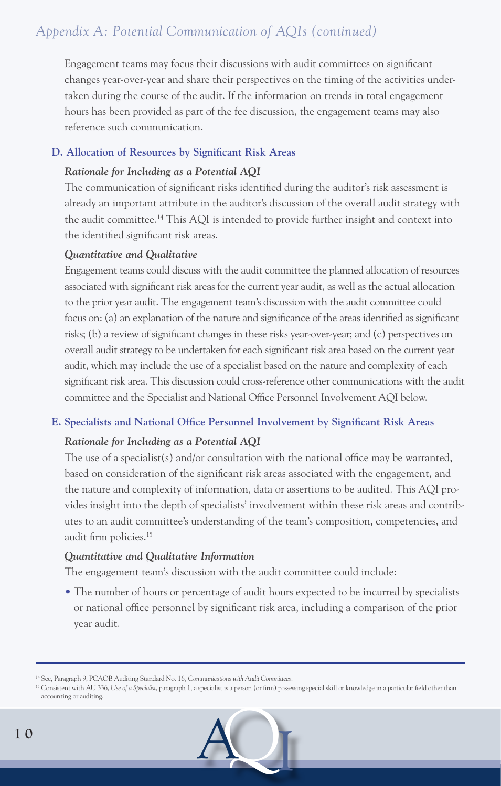Engagement teams may focus their discussions with audit committees on significant changes year-over-year and share their perspectives on the timing of the activities undertaken during the course of the audit. If the information on trends in total engagement hours has been provided as part of the fee discussion, the engagement teams may also reference such communication.

## **D. Allocation of Resources by Significant Risk Areas**

## *Rationale for Including as a Potential AQI*

 The communication of significant risks identified during the auditor's risk assessment is already an important attribute in the auditor's discussion of the overall audit strategy with the audit committee.14 This AQI is intended to provide further insight and context into the identified significant risk areas.

## *Quantitative and Qualitative*

 Engagement teams could discuss with the audit committee the planned allocation of resources associated with significant risk areas for the current year audit, as well as the actual allocation to the prior year audit. The engagement team's discussion with the audit committee could focus on: (a) an explanation of the nature and significance of the areas identified as significant risks; (b) a review of significant changes in these risks year-over-year; and (c) perspectives on overall audit strategy to be undertaken for each significant risk area based on the current year audit, which may include the use of a specialist based on the nature and complexity of each significant risk area. This discussion could cross-reference other communications with the audit committee and the Specialist and National Office Personnel Involvement AQI below.

# **E. Specialists and National Office Personnel Involvement by Significant Risk Areas**

# *Rationale for Including as a Potential AQI*

 The use of a specialist(s) and/or consultation with the national office may be warranted, based on consideration of the significant risk areas associated with the engagement, and the nature and complexity of information, data or assertions to be audited. This AQI provides insight into the depth of specialists' involvement within these risk areas and contributes to an audit committee's understanding of the team's composition, competencies, and audit firm policies.15

# *Quantitative and Qualitative Information*

The engagement team's discussion with the audit committee could include:

 • The number of hours or percentage of audit hours expected to be incurred by specialists or national office personnel by significant risk area, including a comparison of the prior year audit.

<sup>&</sup>lt;sup>15</sup> Consistent with AU 336, Use of a Specialist, paragraph 1, a specialist is a person (or firm) possessing special skill or knowledge in a particular field other than accounting or auditing.



<sup>14</sup> See, Paragraph 9, PCAOB Auditing Standard No. 16*, Communications with Audit Committees.*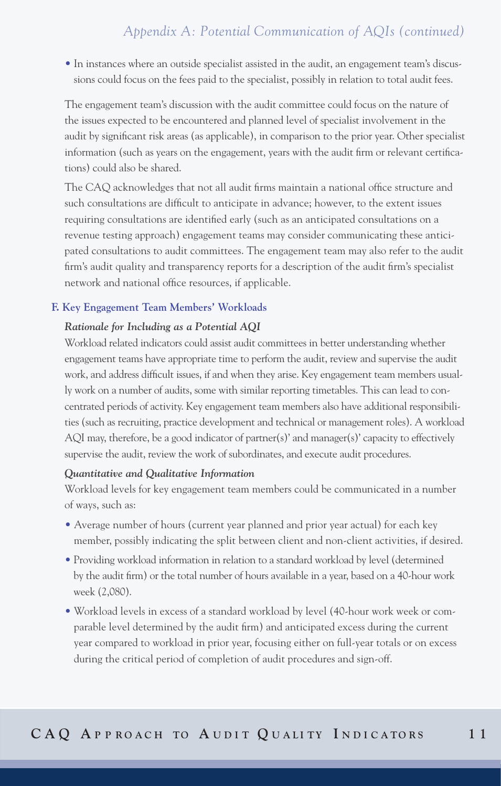• In instances where an outside specialist assisted in the audit, an engagement team's discussions could focus on the fees paid to the specialist, possibly in relation to total audit fees.

 The engagement team's discussion with the audit committee could focus on the nature of the issues expected to be encountered and planned level of specialist involvement in the audit by significant risk areas (as applicable), in comparison to the prior year. Other specialist information (such as years on the engagement, years with the audit firm or relevant certifications) could also be shared.

 The CAQ acknowledges that not all audit firms maintain a national office structure and such consultations are difficult to anticipate in advance; however, to the extent issues requiring consultations are identified early (such as an anticipated consultations on a revenue testing approach) engagement teams may consider communicating these anticipated consultations to audit committees. The engagement team may also refer to the audit firm's audit quality and transparency reports for a description of the audit firm's specialist network and national office resources, if applicable.

#### **F. Key Engagement Team Members' Workloads**

#### *Rationale for Including as a Potential AQI*

 Workload related indicators could assist audit committees in better understanding whether engagement teams have appropriate time to perform the audit, review and supervise the audit work, and address difficult issues, if and when they arise. Key engagement team members usually work on a number of audits, some with similar reporting timetables. This can lead to concentrated periods of activity. Key engagement team members also have additional responsibilities (such as recruiting, practice development and technical or management roles). A workload AQI may, therefore, be a good indicator of partner(s)' and manager(s)' capacity to effectively supervise the audit, review the work of subordinates, and execute audit procedures.

#### *Quantitative and Qualitative Information*

 Workload levels for key engagement team members could be communicated in a number of ways, such as:

- Average number of hours (current year planned and prior year actual) for each key member, possibly indicating the split between client and non-client activities, if desired.
- Providing workload information in relation to a standard workload by level (determined by the audit firm) or the total number of hours available in a year, based on a 40-hour work week (2,080).
- Workload levels in excess of a standard workload by level (40-hour work week or comparable level determined by the audit firm) and anticipated excess during the current year compared to workload in prior year, focusing either on full-year totals or on excess during the critical period of completion of audit procedures and sign-off.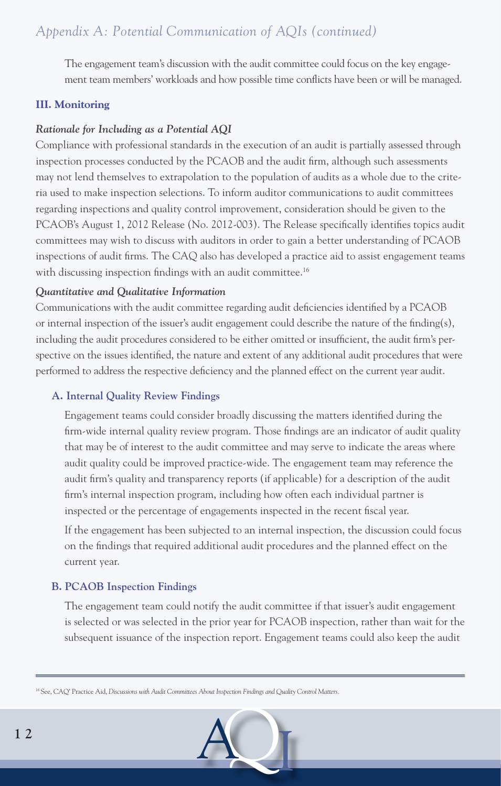The engagement team's discussion with the audit committee could focus on the key engagement team members' workloads and how possible time conflicts have been or will be managed.

## **III. Monitoring**

# *Rationale for Including as a Potential AQI*

Compliance with professional standards in the execution of an audit is partially assessed through inspection processes conducted by the PCAOB and the audit firm, although such assessments may not lend themselves to extrapolation to the population of audits as a whole due to the criteria used to make inspection selections. To inform auditor communications to audit committees regarding inspections and quality control improvement, consideration should be given to the PCAOB's August 1, 2012 Release (No. 2012-003). The Release specifically identifies topics audit committees may wish to discuss with auditors in order to gain a better understanding of PCAOB inspections of audit firms. The CAQ also has developed a practice aid to assist engagement teams with discussing inspection findings with an audit committee.<sup>16</sup>

# *Quantitative and Qualitative Information*

Communications with the audit committee regarding audit deficiencies identified by a PCAOB or internal inspection of the issuer's audit engagement could describe the nature of the finding(s), including the audit procedures considered to be either omitted or insufficient, the audit firm's perspective on the issues identified, the nature and extent of any additional audit procedures that were performed to address the respective deficiency and the planned effect on the current year audit.

# **A. Internal Quality Review Findings**

 Engagement teams could consider broadly discussing the matters identified during the firm-wide internal quality review program. Those findings are an indicator of audit quality that may be of interest to the audit committee and may serve to indicate the areas where audit quality could be improved practice-wide. The engagement team may reference the audit firm's quality and transparency reports (if applicable) for a description of the audit firm's internal inspection program, including how often each individual partner is inspected or the percentage of engagements inspected in the recent fiscal year.

 If the engagement has been subjected to an internal inspection, the discussion could focus on the findings that required additional audit procedures and the planned effect on the current year.

### **B. PCAOB Inspection Findings**

 The engagement team could notify the audit committee if that issuer's audit engagement is selected or was selected in the prior year for PCAOB inspection, rather than wait for the subsequent issuance of the inspection report. Engagement teams could also keep the audit

<sup>16</sup> See, CAQ' Practice Aid, *Discussions with Audit Committees About Inspection Findings and Quality Control Matters.*

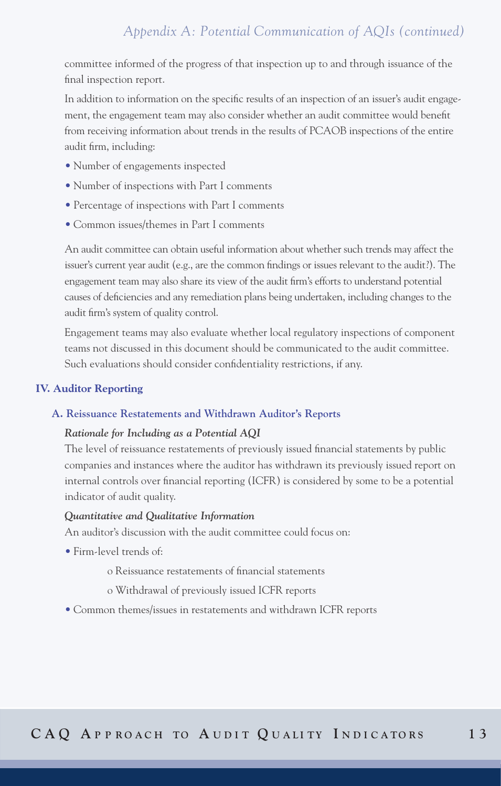committee informed of the progress of that inspection up to and through issuance of the final inspection report.

 In addition to information on the specific results of an inspection of an issuer's audit engagement, the engagement team may also consider whether an audit committee would benefit from receiving information about trends in the results of PCAOB inspections of the entire audit firm, including:

- Number of engagements inspected
- Number of inspections with Part I comments
- Percentage of inspections with Part I comments
- Common issues/themes in Part I comments

 An audit committee can obtain useful information about whether such trends may affect the issuer's current year audit (e.g., are the common findings or issues relevant to the audit?). The engagement team may also share its view of the audit firm's efforts to understand potential causes of deficiencies and any remediation plans being undertaken, including changes to the audit firm's system of quality control.

 Engagement teams may also evaluate whether local regulatory inspections of component teams not discussed in this document should be communicated to the audit committee. Such evaluations should consider confidentiality restrictions, if any.

#### **IV. Auditor Reporting**

#### **A. Reissuance Restatements and Withdrawn Auditor's Reports**

#### *Rationale for Including as a Potential AQI*

 The level of reissuance restatements of previously issued financial statements by public companies and instances where the auditor has withdrawn its previously issued report on internal controls over financial reporting (ICFR) is considered by some to be a potential indicator of audit quality.

#### *Quantitative and Qualitative Information*

An auditor's discussion with the audit committee could focus on:

- Firm-level trends of:
	- o Reissuance restatements of financial statements
	- o Withdrawal of previously issued ICFR reports
- Common themes/issues in restatements and withdrawn ICFR reports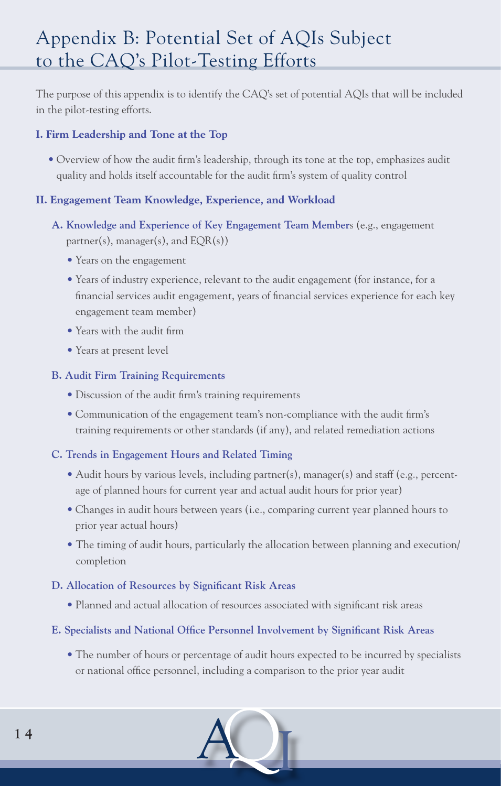# Appendix B: Potential Set of AQIs Subject to the CAQ's Pilot-Testing Efforts

The purpose of this appendix is to identify the CAQ's set of potential AQIs that will be included in the pilot-testing efforts.

# **I. Firm Leadership and Tone at the Top**

• Overview of how the audit firm's leadership, through its tone at the top, emphasizes audit quality and holds itself accountable for the audit firm's system of quality control

# **II. Engagement Team Knowledge, Experience, and Workload**

- **A. Knowledge and Experience of Key Engagement Team Member**s (e.g., engagement partner(s), manager(s), and  $EQR(s)$ )
	- Years on the engagement
	- Years of industry experience, relevant to the audit engagement (for instance, for a financial services audit engagement, years of financial services experience for each key engagement team member)
	- Years with the audit firm
	- Years at present level

# **B. Audit Firm Training Requirements**

- Discussion of the audit firm's training requirements
- Communication of the engagement team's non-compliance with the audit firm's training requirements or other standards (if any), and related remediation actions

# **C. Trends in Engagement Hours and Related Timing**

- Audit hours by various levels, including partner(s), manager(s) and staff (e.g., percentage of planned hours for current year and actual audit hours for prior year)
- Changes in audit hours between years (i.e., comparing current year planned hours to prior year actual hours)
- The timing of audit hours, particularly the allocation between planning and execution/ completion

# **D. Allocation of Resources by Significant Risk Areas**

• Planned and actual allocation of resources associated with significant risk areas

# **E. Specialists and National Office Personnel Involvement by Significant Risk Areas**

 • The number of hours or percentage of audit hours expected to be incurred by specialists or national office personnel, including a comparison to the prior year audit

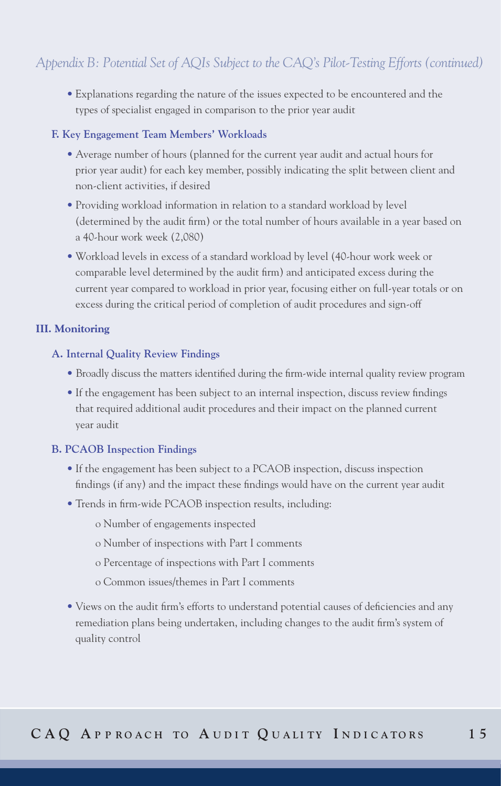• Explanations regarding the nature of the issues expected to be encountered and the types of specialist engaged in comparison to the prior year audit

### **F. Key Engagement Team Members' Workloads**

- Average number of hours (planned for the current year audit and actual hours for prior year audit) for each key member, possibly indicating the split between client and non-client activities, if desired
- Providing workload information in relation to a standard workload by level (determined by the audit firm) or the total number of hours available in a year based on a 40-hour work week (2,080)
- Workload levels in excess of a standard workload by level (40-hour work week or comparable level determined by the audit firm) and anticipated excess during the current year compared to workload in prior year, focusing either on full-year totals or on excess during the critical period of completion of audit procedures and sign-off

## **III. Monitoring**

## **A. Internal Quality Review Findings**

- Broadly discuss the matters identified during the firm-wide internal quality review program
- If the engagement has been subject to an internal inspection, discuss review findings that required additional audit procedures and their impact on the planned current year audit

# **B. PCAOB Inspection Findings**

- If the engagement has been subject to a PCAOB inspection, discuss inspection findings (if any) and the impact these findings would have on the current year audit
- Trends in firm-wide PCAOB inspection results, including:
	- o Number of engagements inspected
	- o Number of inspections with Part I comments
	- o Percentage of inspections with Part I comments
	- o Common issues/themes in Part I comments
- Views on the audit firm's efforts to understand potential causes of deficiencies and any remediation plans being undertaken, including changes to the audit firm's system of quality control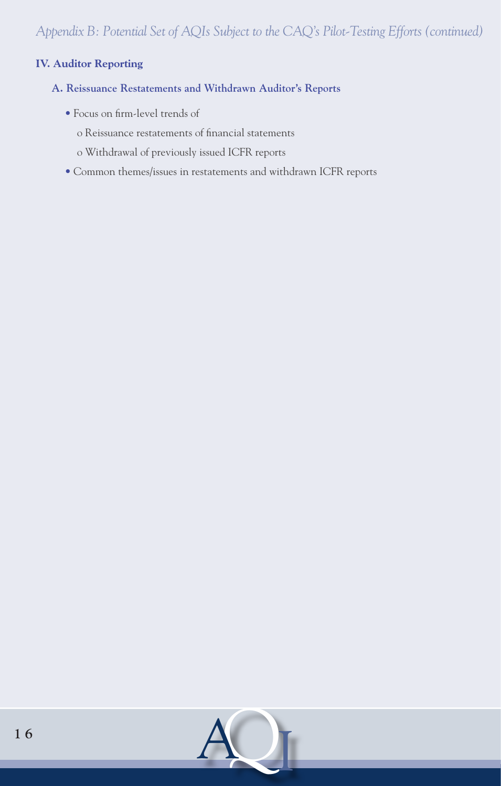# **IV. Auditor Reporting**

- **A. Reissuance Restatements and Withdrawn Auditor's Reports**
	- Focus on firm-level trends of
		- o Reissuance restatements of financial statements
		- o Withdrawal of previously issued ICFR reports
	- Common themes/issues in restatements and withdrawn ICFR reports

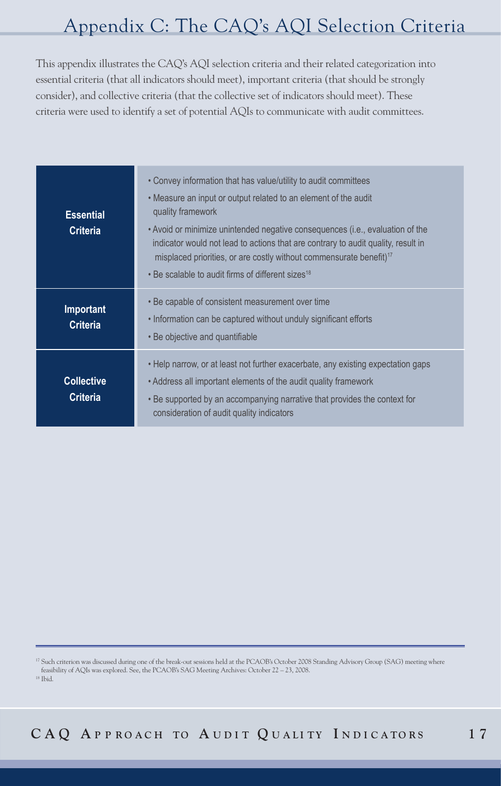# Appendix C: The CAQ's AQI Selection Criteria

This appendix illustrates the CAQ's AQI selection criteria and their related categorization into essential criteria (that all indicators should meet), important criteria (that should be strongly consider), and collective criteria (that the collective set of indicators should meet). These criteria were used to identify a set of potential AQIs to communicate with audit committees.

| <b>Essential</b><br><b>Criteria</b>  | • Convey information that has value/utility to audit committees<br>. Measure an input or output related to an element of the audit<br>quality framework<br>• Avoid or minimize unintended negative consequences (i.e., evaluation of the<br>indicator would not lead to actions that are contrary to audit quality, result in<br>misplaced priorities, or are costly without commensurate benefit) <sup>17</sup><br>• Be scalable to audit firms of different sizes <sup>18</sup> |
|--------------------------------------|-----------------------------------------------------------------------------------------------------------------------------------------------------------------------------------------------------------------------------------------------------------------------------------------------------------------------------------------------------------------------------------------------------------------------------------------------------------------------------------|
| <b>Important</b><br><b>Criteria</b>  | . Be capable of consistent measurement over time<br>. Information can be captured without unduly significant efforts<br>• Be objective and quantifiable                                                                                                                                                                                                                                                                                                                           |
| <b>Collective</b><br><b>Criteria</b> | • Help narrow, or at least not further exacerbate, any existing expectation gaps<br>• Address all important elements of the audit quality framework<br>. Be supported by an accompanying narrative that provides the context for<br>consideration of audit quality indicators                                                                                                                                                                                                     |

<sup>17</sup> Such criterion was discussed during one of the break-out sessions held at the PCAOB's October 2008 Standing Advisory Group (SAG) meeting where feasibility of AQIs was explored. See, the PCAOB's SAG Meeting Archives: October 22 – 23, 2008.

18 Ibid.